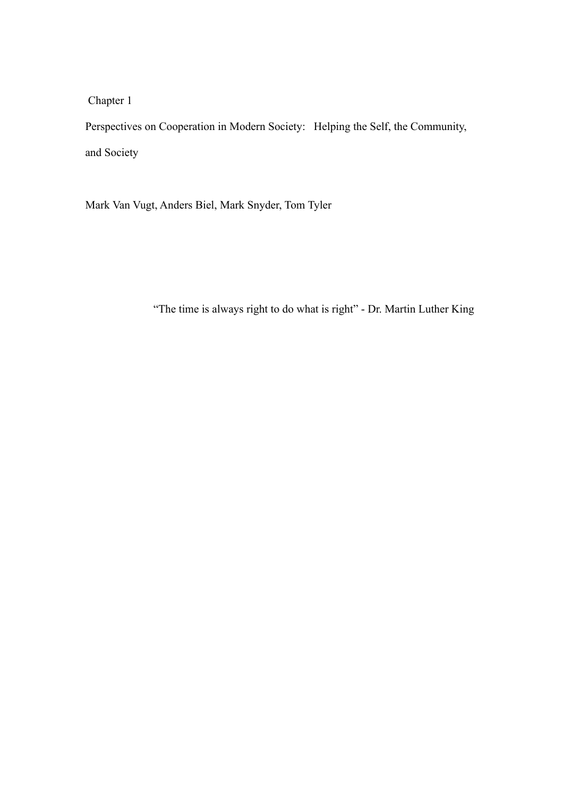Chapter 1

Perspectives on Cooperation in Modern Society: Helping the Self, the Community, and Society

Mark Van Vugt, Anders Biel, Mark Snyder, Tom Tyler

"The time is always right to do what is right" - Dr. Martin Luther King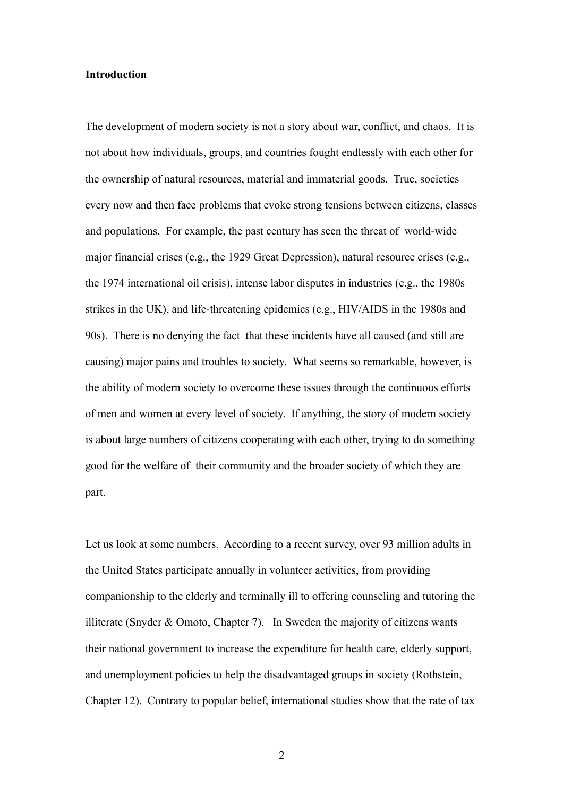#### **Introduction**

The development of modern society is not a story about war, conflict, and chaos. It is not about how individuals, groups, and countries fought endlessly with each other for the ownership of natural resources, material and immaterial goods. True, societies every now and then face problems that evoke strong tensions between citizens, classes and populations. For example, the past century has seen the threat of world-wide major financial crises (e.g., the 1929 Great Depression), natural resource crises (e.g., the 1974 international oil crisis), intense labor disputes in industries (e.g., the 1980s strikes in the UK), and life-threatening epidemics (e.g., HIV/AIDS in the 1980s and 90s). There is no denying the fact that these incidents have all caused (and still are causing) major pains and troubles to society. What seems so remarkable, however, is the ability of modern society to overcome these issues through the continuous efforts of men and women at every level of society. If anything, the story of modern society is about large numbers of citizens cooperating with each other, trying to do something good for the welfare of their community and the broader society of which they are part.

Let us look at some numbers. According to a recent survey, over 93 million adults in the United States participate annually in volunteer activities, from providing companionship to the elderly and terminally ill to offering counseling and tutoring the illiterate (Snyder & Omoto, Chapter 7). In Sweden the majority of citizens wants their national government to increase the expenditure for health care, elderly support, and unemployment policies to help the disadvantaged groups in society (Rothstein, Chapter 12). Contrary to popular belief, international studies show that the rate of tax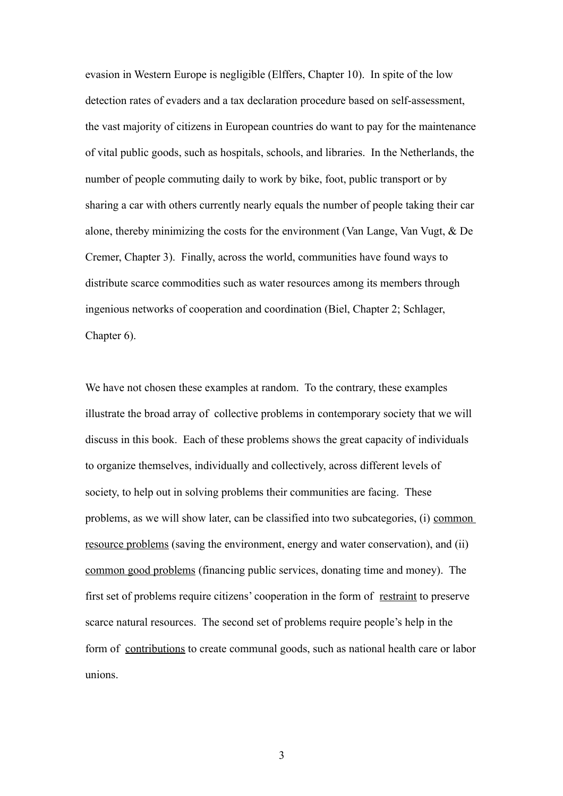evasion in Western Europe is negligible (Elffers, Chapter 10). In spite of the low detection rates of evaders and a tax declaration procedure based on self-assessment, the vast majority of citizens in European countries do want to pay for the maintenance of vital public goods, such as hospitals, schools, and libraries. In the Netherlands, the number of people commuting daily to work by bike, foot, public transport or by sharing a car with others currently nearly equals the number of people taking their car alone, thereby minimizing the costs for the environment (Van Lange, Van Vugt, & De Cremer, Chapter 3). Finally, across the world, communities have found ways to distribute scarce commodities such as water resources among its members through ingenious networks of cooperation and coordination (Biel, Chapter 2; Schlager, Chapter 6).

We have not chosen these examples at random. To the contrary, these examples illustrate the broad array of collective problems in contemporary society that we will discuss in this book. Each of these problems shows the great capacity of individuals to organize themselves, individually and collectively, across different levels of society, to help out in solving problems their communities are facing. These problems, as we will show later, can be classified into two subcategories, (i) common resource problems (saving the environment, energy and water conservation), and (ii) common good problems (financing public services, donating time and money). The first set of problems require citizens' cooperation in the form of restraint to preserve scarce natural resources. The second set of problems require people's help in the form of contributions to create communal goods, such as national health care or labor unions.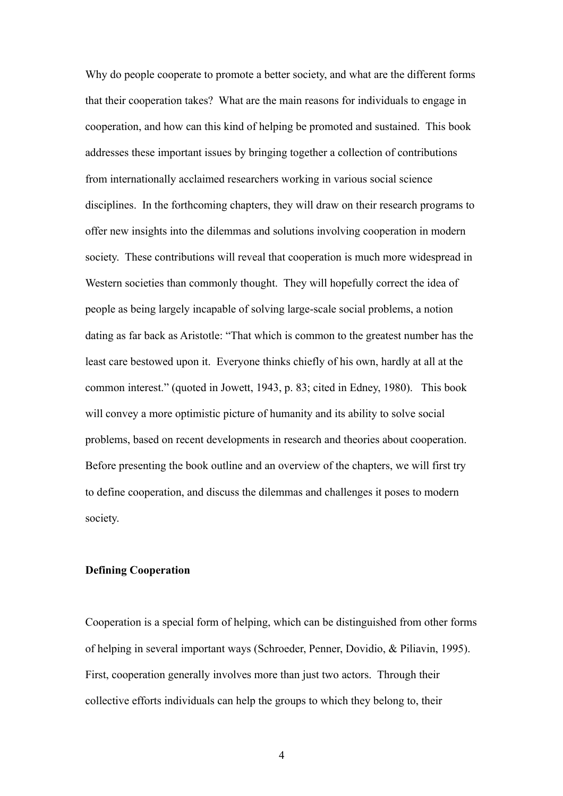Why do people cooperate to promote a better society, and what are the different forms that their cooperation takes? What are the main reasons for individuals to engage in cooperation, and how can this kind of helping be promoted and sustained. This book addresses these important issues by bringing together a collection of contributions from internationally acclaimed researchers working in various social science disciplines. In the forthcoming chapters, they will draw on their research programs to offer new insights into the dilemmas and solutions involving cooperation in modern society. These contributions will reveal that cooperation is much more widespread in Western societies than commonly thought. They will hopefully correct the idea of people as being largely incapable of solving large-scale social problems, a notion dating as far back as Aristotle: "That which is common to the greatest number has the least care bestowed upon it. Everyone thinks chiefly of his own, hardly at all at the common interest." (quoted in Jowett, 1943, p. 83; cited in Edney, 1980). This book will convey a more optimistic picture of humanity and its ability to solve social problems, based on recent developments in research and theories about cooperation. Before presenting the book outline and an overview of the chapters, we will first try to define cooperation, and discuss the dilemmas and challenges it poses to modern society.

## **Defining Cooperation**

Cooperation is a special form of helping, which can be distinguished from other forms of helping in several important ways (Schroeder, Penner, Dovidio, & Piliavin, 1995). First, cooperation generally involves more than just two actors. Through their collective efforts individuals can help the groups to which they belong to, their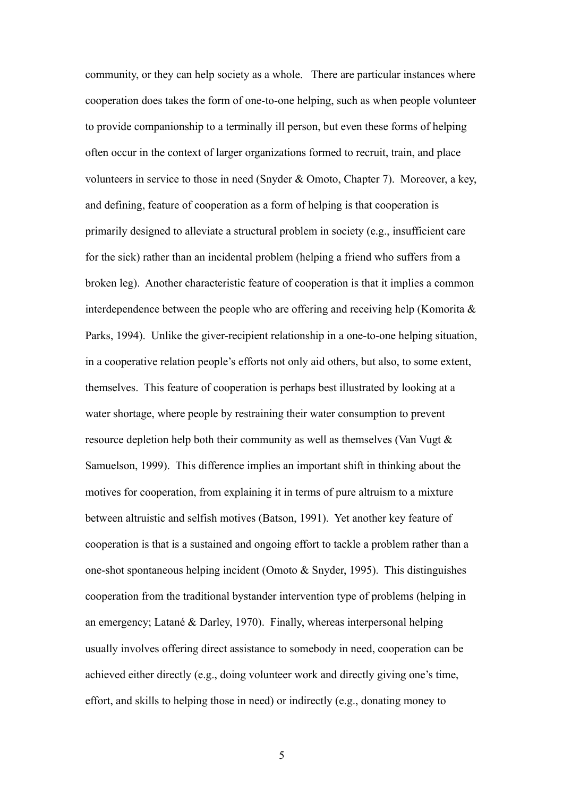community, or they can help society as a whole. There are particular instances where cooperation does takes the form of one-to-one helping, such as when people volunteer to provide companionship to a terminally ill person, but even these forms of helping often occur in the context of larger organizations formed to recruit, train, and place volunteers in service to those in need (Snyder & Omoto, Chapter 7). Moreover, a key, and defining, feature of cooperation as a form of helping is that cooperation is primarily designed to alleviate a structural problem in society (e.g., insufficient care for the sick) rather than an incidental problem (helping a friend who suffers from a broken leg). Another characteristic feature of cooperation is that it implies a common interdependence between the people who are offering and receiving help (Komorita  $\&$ Parks, 1994). Unlike the giver-recipient relationship in a one-to-one helping situation, in a cooperative relation people's efforts not only aid others, but also, to some extent, themselves. This feature of cooperation is perhaps best illustrated by looking at a water shortage, where people by restraining their water consumption to prevent resource depletion help both their community as well as themselves (Van Vugt & Samuelson, 1999). This difference implies an important shift in thinking about the motives for cooperation, from explaining it in terms of pure altruism to a mixture between altruistic and selfish motives (Batson, 1991). Yet another key feature of cooperation is that is a sustained and ongoing effort to tackle a problem rather than a one-shot spontaneous helping incident (Omoto & Snyder, 1995). This distinguishes cooperation from the traditional bystander intervention type of problems (helping in an emergency; Latané & Darley, 1970). Finally, whereas interpersonal helping usually involves offering direct assistance to somebody in need, cooperation can be achieved either directly (e.g., doing volunteer work and directly giving one's time, effort, and skills to helping those in need) or indirectly (e.g., donating money to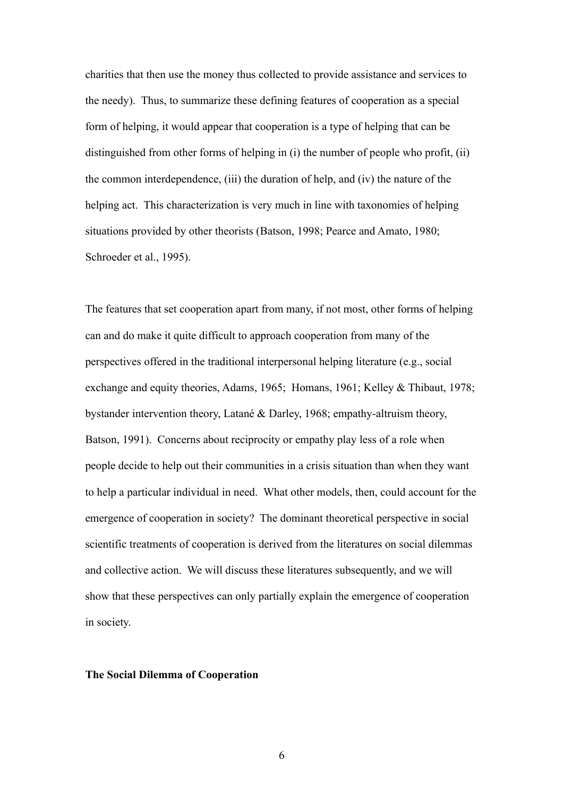charities that then use the money thus collected to provide assistance and services to the needy). Thus, to summarize these defining features of cooperation as a special form of helping, it would appear that cooperation is a type of helping that can be distinguished from other forms of helping in (i) the number of people who profit, (ii) the common interdependence, (iii) the duration of help, and (iv) the nature of the helping act. This characterization is very much in line with taxonomies of helping situations provided by other theorists (Batson, 1998; Pearce and Amato, 1980; Schroeder et al., 1995).

The features that set cooperation apart from many, if not most, other forms of helping can and do make it quite difficult to approach cooperation from many of the perspectives offered in the traditional interpersonal helping literature (e.g., social exchange and equity theories, Adams, 1965; Homans, 1961; Kelley & Thibaut, 1978; bystander intervention theory, Latané & Darley, 1968; empathy-altruism theory, Batson, 1991). Concerns about reciprocity or empathy play less of a role when people decide to help out their communities in a crisis situation than when they want to help a particular individual in need. What other models, then, could account for the emergence of cooperation in society? The dominant theoretical perspective in social scientific treatments of cooperation is derived from the literatures on social dilemmas and collective action. We will discuss these literatures subsequently, and we will show that these perspectives can only partially explain the emergence of cooperation in society.

## **The Social Dilemma of Cooperation**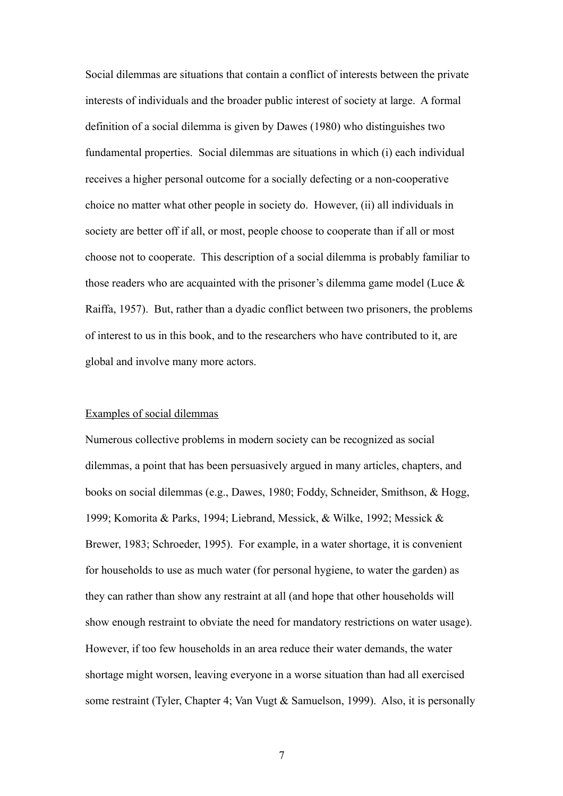Social dilemmas are situations that contain a conflict of interests between the private interests of individuals and the broader public interest of society at large. A formal definition of a social dilemma is given by Dawes (1980) who distinguishes two fundamental properties. Social dilemmas are situations in which (i) each individual receives a higher personal outcome for a socially defecting or a non-cooperative choice no matter what other people in society do. However, (ii) all individuals in society are better off if all, or most, people choose to cooperate than if all or most choose not to cooperate. This description of a social dilemma is probably familiar to those readers who are acquainted with the prisoner's dilemma game model (Luce & Raiffa, 1957). But, rather than a dyadic conflict between two prisoners, the problems of interest to us in this book, and to the researchers who have contributed to it, are global and involve many more actors.

## Examples of social dilemmas

Numerous collective problems in modern society can be recognized as social dilemmas, a point that has been persuasively argued in many articles, chapters, and books on social dilemmas (e.g., Dawes, 1980; Foddy, Schneider, Smithson, & Hogg, 1999; Komorita & Parks, 1994; Liebrand, Messick, & Wilke, 1992; Messick & Brewer, 1983; Schroeder, 1995). For example, in a water shortage, it is convenient for households to use as much water (for personal hygiene, to water the garden) as they can rather than show any restraint at all (and hope that other households will show enough restraint to obviate the need for mandatory restrictions on water usage). However, if too few households in an area reduce their water demands, the water shortage might worsen, leaving everyone in a worse situation than had all exercised some restraint (Tyler, Chapter 4; Van Vugt & Samuelson, 1999). Also, it is personally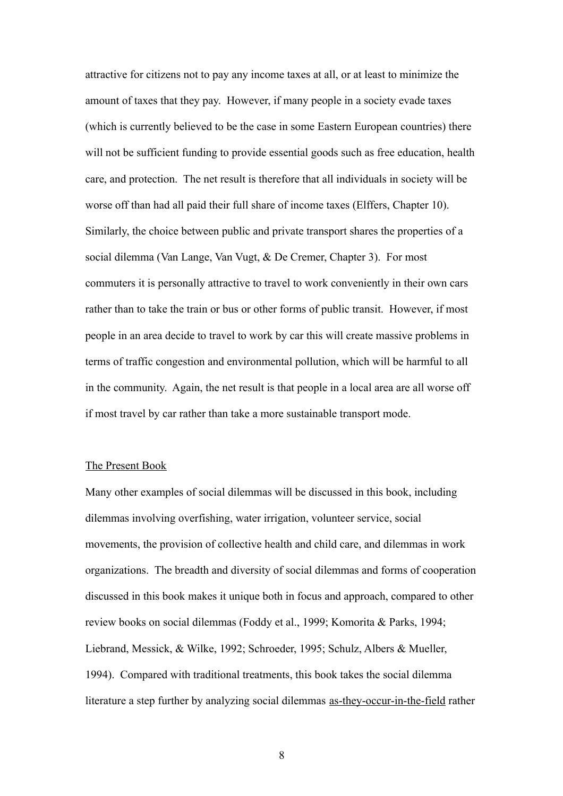attractive for citizens not to pay any income taxes at all, or at least to minimize the amount of taxes that they pay. However, if many people in a society evade taxes (which is currently believed to be the case in some Eastern European countries) there will not be sufficient funding to provide essential goods such as free education, health care, and protection. The net result is therefore that all individuals in society will be worse off than had all paid their full share of income taxes (Elffers, Chapter 10). Similarly, the choice between public and private transport shares the properties of a social dilemma (Van Lange, Van Vugt, & De Cremer, Chapter 3). For most commuters it is personally attractive to travel to work conveniently in their own cars rather than to take the train or bus or other forms of public transit. However, if most people in an area decide to travel to work by car this will create massive problems in terms of traffic congestion and environmental pollution, which will be harmful to all in the community. Again, the net result is that people in a local area are all worse off if most travel by car rather than take a more sustainable transport mode.

## The Present Book

Many other examples of social dilemmas will be discussed in this book, including dilemmas involving overfishing, water irrigation, volunteer service, social movements, the provision of collective health and child care, and dilemmas in work organizations. The breadth and diversity of social dilemmas and forms of cooperation discussed in this book makes it unique both in focus and approach, compared to other review books on social dilemmas (Foddy et al., 1999; Komorita & Parks, 1994; Liebrand, Messick, & Wilke, 1992; Schroeder, 1995; Schulz, Albers & Mueller, 1994). Compared with traditional treatments, this book takes the social dilemma literature a step further by analyzing social dilemmas as-they-occur-in-the-field rather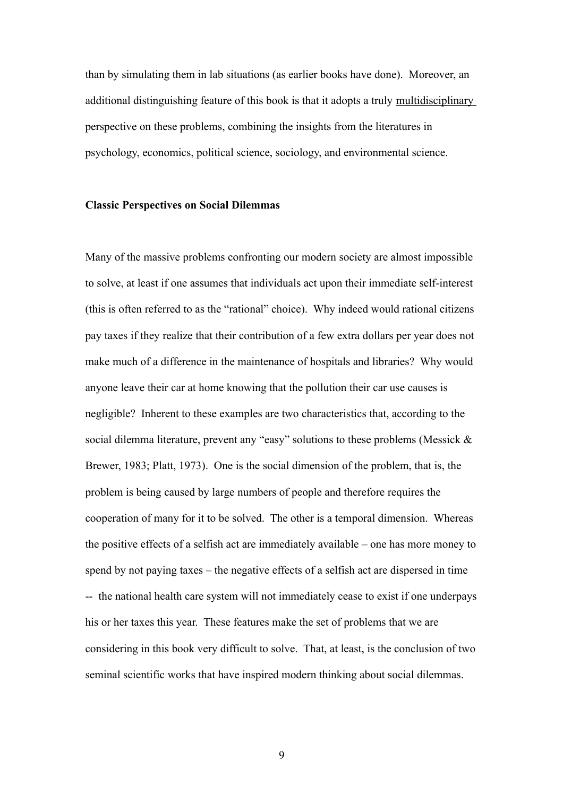than by simulating them in lab situations (as earlier books have done). Moreover, an additional distinguishing feature of this book is that it adopts a truly multidisciplinary perspective on these problems, combining the insights from the literatures in psychology, economics, political science, sociology, and environmental science.

#### **Classic Perspectives on Social Dilemmas**

Many of the massive problems confronting our modern society are almost impossible to solve, at least if one assumes that individuals act upon their immediate self-interest (this is often referred to as the "rational" choice). Why indeed would rational citizens pay taxes if they realize that their contribution of a few extra dollars per year does not make much of a difference in the maintenance of hospitals and libraries? Why would anyone leave their car at home knowing that the pollution their car use causes is negligible? Inherent to these examples are two characteristics that, according to the social dilemma literature, prevent any "easy" solutions to these problems (Messick & Brewer, 1983; Platt, 1973). One is the social dimension of the problem, that is, the problem is being caused by large numbers of people and therefore requires the cooperation of many for it to be solved. The other is a temporal dimension. Whereas the positive effects of a selfish act are immediately available – one has more money to spend by not paying taxes – the negative effects of a selfish act are dispersed in time -- the national health care system will not immediately cease to exist if one underpays his or her taxes this year. These features make the set of problems that we are considering in this book very difficult to solve. That, at least, is the conclusion of two seminal scientific works that have inspired modern thinking about social dilemmas.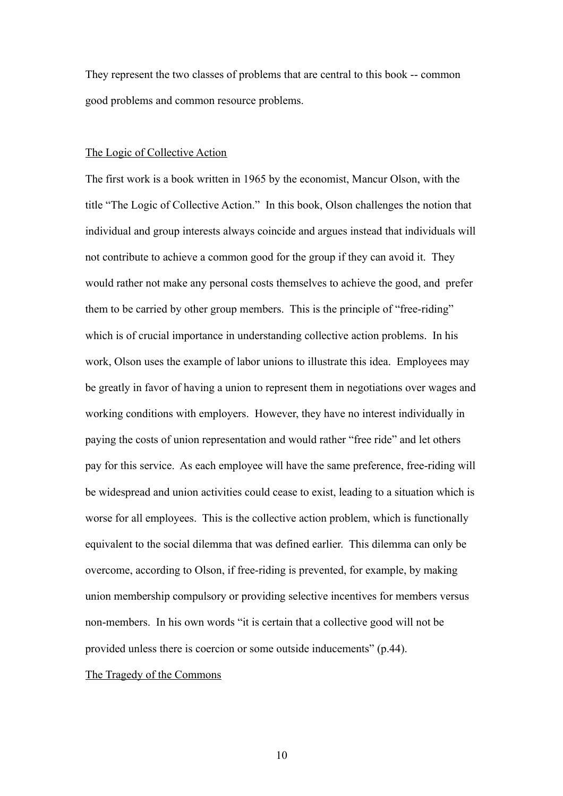They represent the two classes of problems that are central to this book -- common good problems and common resource problems.

# The Logic of Collective Action

The first work is a book written in 1965 by the economist, Mancur Olson, with the title "The Logic of Collective Action." In this book, Olson challenges the notion that individual and group interests always coincide and argues instead that individuals will not contribute to achieve a common good for the group if they can avoid it. They would rather not make any personal costs themselves to achieve the good, and prefer them to be carried by other group members. This is the principle of "free-riding" which is of crucial importance in understanding collective action problems. In his work, Olson uses the example of labor unions to illustrate this idea. Employees may be greatly in favor of having a union to represent them in negotiations over wages and working conditions with employers. However, they have no interest individually in paying the costs of union representation and would rather "free ride" and let others pay for this service. As each employee will have the same preference, free-riding will be widespread and union activities could cease to exist, leading to a situation which is worse for all employees. This is the collective action problem, which is functionally equivalent to the social dilemma that was defined earlier. This dilemma can only be overcome, according to Olson, if free-riding is prevented, for example, by making union membership compulsory or providing selective incentives for members versus non-members. In his own words "it is certain that a collective good will not be provided unless there is coercion or some outside inducements" (p.44).

The Tragedy of the Commons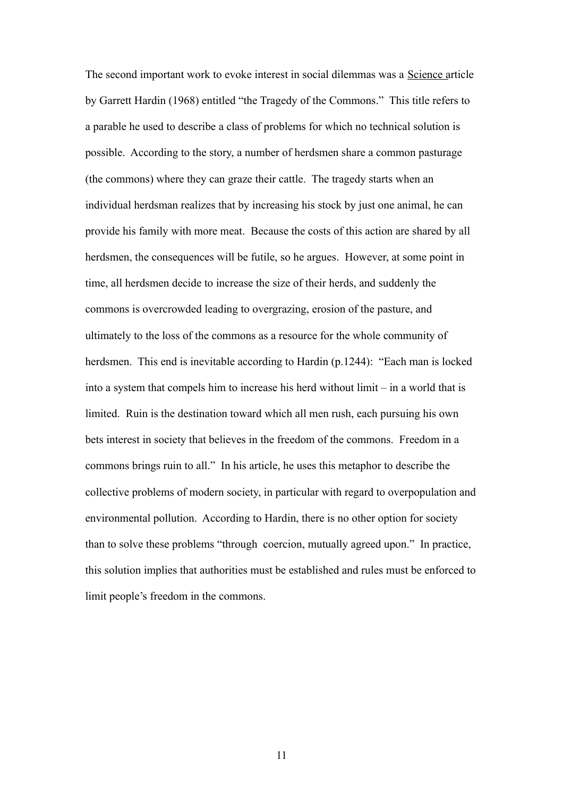The second important work to evoke interest in social dilemmas was a Science article by Garrett Hardin (1968) entitled "the Tragedy of the Commons." This title refers to a parable he used to describe a class of problems for which no technical solution is possible. According to the story, a number of herdsmen share a common pasturage (the commons) where they can graze their cattle. The tragedy starts when an individual herdsman realizes that by increasing his stock by just one animal, he can provide his family with more meat. Because the costs of this action are shared by all herdsmen, the consequences will be futile, so he argues. However, at some point in time, all herdsmen decide to increase the size of their herds, and suddenly the commons is overcrowded leading to overgrazing, erosion of the pasture, and ultimately to the loss of the commons as a resource for the whole community of herdsmen. This end is inevitable according to Hardin (p.1244): "Each man is locked into a system that compels him to increase his herd without limit – in a world that is limited. Ruin is the destination toward which all men rush, each pursuing his own bets interest in society that believes in the freedom of the commons. Freedom in a commons brings ruin to all." In his article, he uses this metaphor to describe the collective problems of modern society, in particular with regard to overpopulation and environmental pollution. According to Hardin, there is no other option for society than to solve these problems "through coercion, mutually agreed upon." In practice, this solution implies that authorities must be established and rules must be enforced to limit people's freedom in the commons.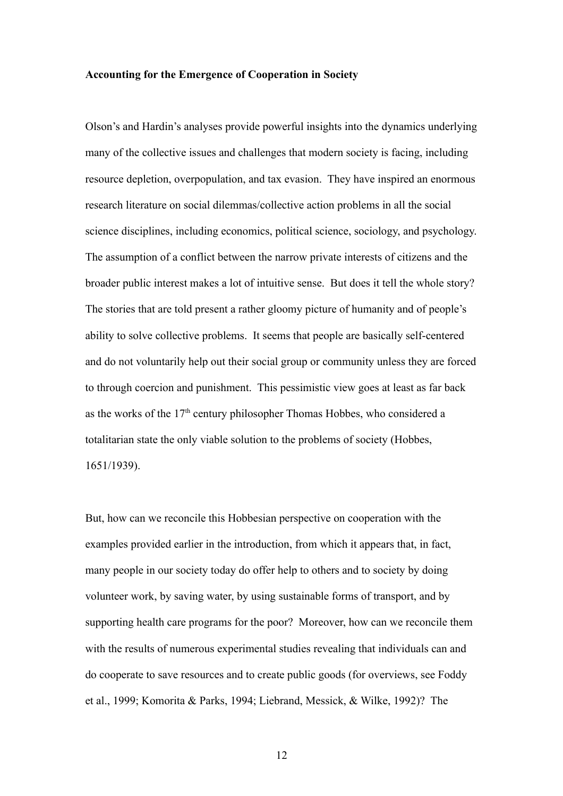#### **Accounting for the Emergence of Cooperation in Society**

Olson's and Hardin's analyses provide powerful insights into the dynamics underlying many of the collective issues and challenges that modern society is facing, including resource depletion, overpopulation, and tax evasion. They have inspired an enormous research literature on social dilemmas/collective action problems in all the social science disciplines, including economics, political science, sociology, and psychology. The assumption of a conflict between the narrow private interests of citizens and the broader public interest makes a lot of intuitive sense. But does it tell the whole story? The stories that are told present a rather gloomy picture of humanity and of people's ability to solve collective problems. It seems that people are basically self-centered and do not voluntarily help out their social group or community unless they are forced to through coercion and punishment. This pessimistic view goes at least as far back as the works of the  $17<sup>th</sup>$  century philosopher Thomas Hobbes, who considered a totalitarian state the only viable solution to the problems of society (Hobbes, 1651/1939).

But, how can we reconcile this Hobbesian perspective on cooperation with the examples provided earlier in the introduction, from which it appears that, in fact, many people in our society today do offer help to others and to society by doing volunteer work, by saving water, by using sustainable forms of transport, and by supporting health care programs for the poor? Moreover, how can we reconcile them with the results of numerous experimental studies revealing that individuals can and do cooperate to save resources and to create public goods (for overviews, see Foddy et al., 1999; Komorita & Parks, 1994; Liebrand, Messick, & Wilke, 1992)? The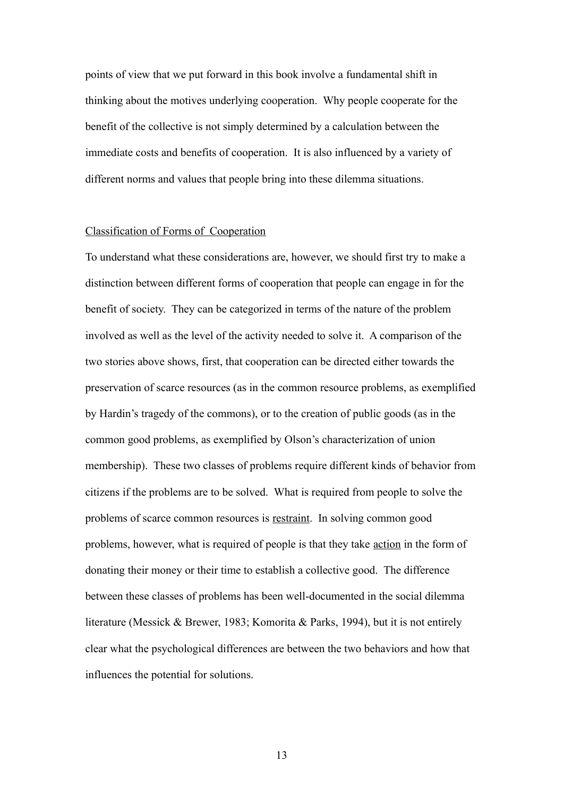points of view that we put forward in this book involve a fundamental shift in thinking about the motives underlying cooperation. Why people cooperate for the benefit of the collective is not simply determined by a calculation between the immediate costs and benefits of cooperation. It is also influenced by a variety of different norms and values that people bring into these dilemma situations.

## Classification of Forms of Cooperation

To understand what these considerations are, however, we should first try to make a distinction between different forms of cooperation that people can engage in for the benefit of society. They can be categorized in terms of the nature of the problem involved as well as the level of the activity needed to solve it. A comparison of the two stories above shows, first, that cooperation can be directed either towards the preservation of scarce resources (as in the common resource problems, as exemplified by Hardin's tragedy of the commons), or to the creation of public goods (as in the common good problems, as exemplified by Olson's characterization of union membership). These two classes of problems require different kinds of behavior from citizens if the problems are to be solved. What is required from people to solve the problems of scarce common resources is restraint. In solving common good problems, however, what is required of people is that they take action in the form of donating their money or their time to establish a collective good. The difference between these classes of problems has been well-documented in the social dilemma literature (Messick & Brewer, 1983; Komorita & Parks, 1994), but it is not entirely clear what the psychological differences are between the two behaviors and how that influences the potential for solutions.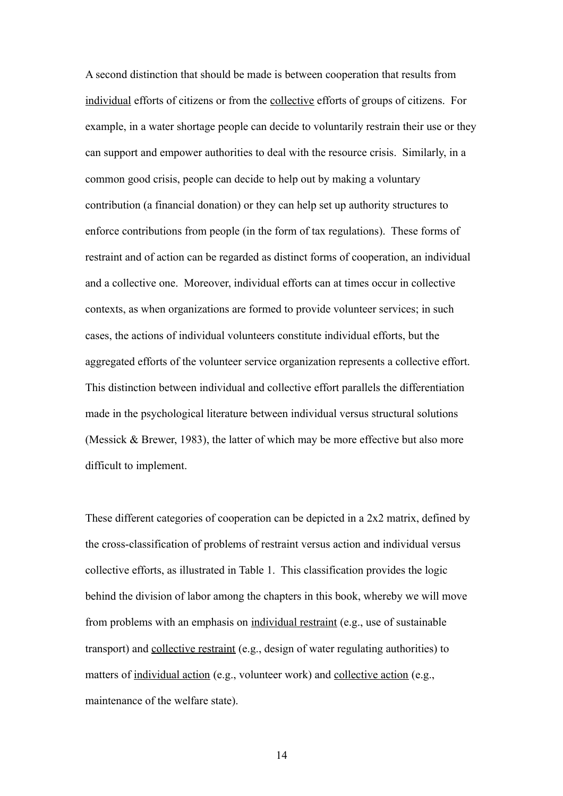A second distinction that should be made is between cooperation that results from individual efforts of citizens or from the collective efforts of groups of citizens. For example, in a water shortage people can decide to voluntarily restrain their use or they can support and empower authorities to deal with the resource crisis. Similarly, in a common good crisis, people can decide to help out by making a voluntary contribution (a financial donation) or they can help set up authority structures to enforce contributions from people (in the form of tax regulations). These forms of restraint and of action can be regarded as distinct forms of cooperation, an individual and a collective one. Moreover, individual efforts can at times occur in collective contexts, as when organizations are formed to provide volunteer services; in such cases, the actions of individual volunteers constitute individual efforts, but the aggregated efforts of the volunteer service organization represents a collective effort. This distinction between individual and collective effort parallels the differentiation made in the psychological literature between individual versus structural solutions (Messick & Brewer, 1983), the latter of which may be more effective but also more difficult to implement.

These different categories of cooperation can be depicted in a 2x2 matrix, defined by the cross-classification of problems of restraint versus action and individual versus collective efforts, as illustrated in Table 1. This classification provides the logic behind the division of labor among the chapters in this book, whereby we will move from problems with an emphasis on individual restraint (e.g., use of sustainable transport) and collective restraint (e.g., design of water regulating authorities) to matters of individual action (e.g., volunteer work) and collective action (e.g., maintenance of the welfare state).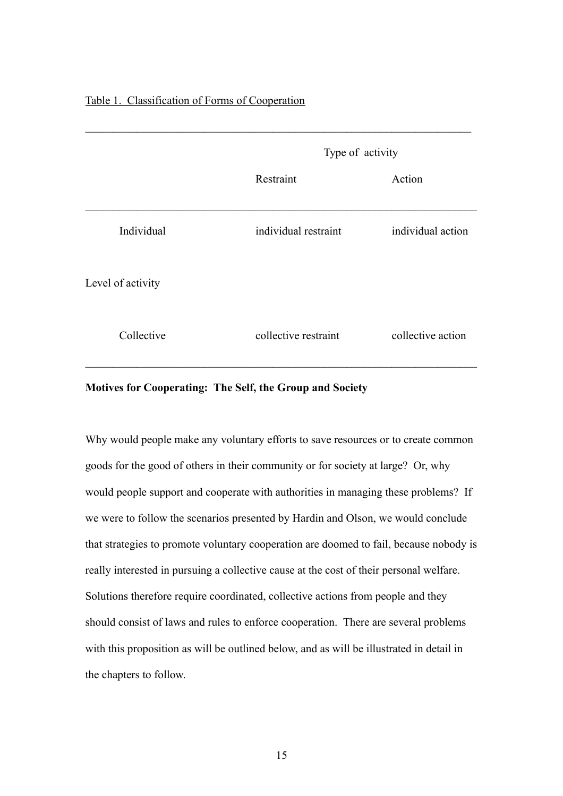# Table 1. Classification of Forms of Cooperation

|                   |                      | Type of activity  |  |  |  |
|-------------------|----------------------|-------------------|--|--|--|
|                   | Restraint            | Action            |  |  |  |
| Individual        | individual restraint | individual action |  |  |  |
| Level of activity |                      |                   |  |  |  |
| Collective        | collective restraint | collective action |  |  |  |

# **Motives for Cooperating: The Self, the Group and Society**

Why would people make any voluntary efforts to save resources or to create common goods for the good of others in their community or for society at large? Or, why would people support and cooperate with authorities in managing these problems? If we were to follow the scenarios presented by Hardin and Olson, we would conclude that strategies to promote voluntary cooperation are doomed to fail, because nobody is really interested in pursuing a collective cause at the cost of their personal welfare. Solutions therefore require coordinated, collective actions from people and they should consist of laws and rules to enforce cooperation. There are several problems with this proposition as will be outlined below, and as will be illustrated in detail in the chapters to follow.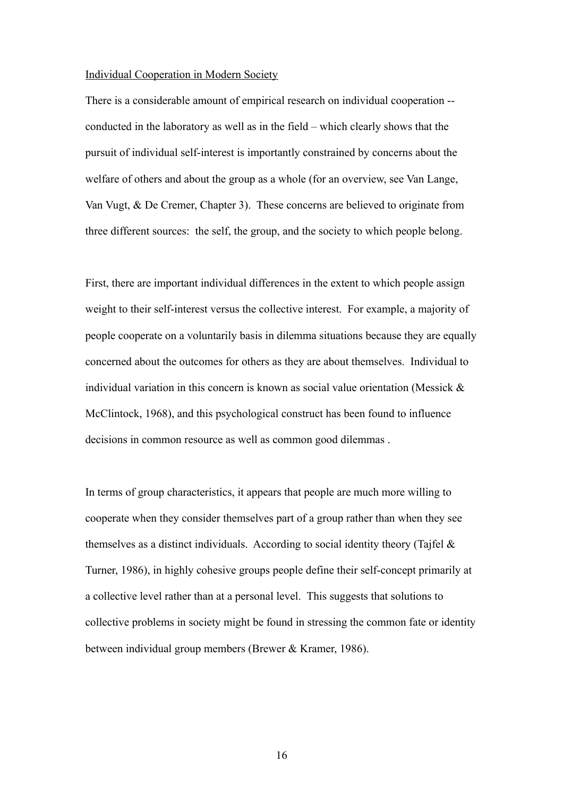#### Individual Cooperation in Modern Society

There is a considerable amount of empirical research on individual cooperation - conducted in the laboratory as well as in the field – which clearly shows that the pursuit of individual self-interest is importantly constrained by concerns about the welfare of others and about the group as a whole (for an overview, see Van Lange, Van Vugt, & De Cremer, Chapter 3). These concerns are believed to originate from three different sources: the self, the group, and the society to which people belong.

First, there are important individual differences in the extent to which people assign weight to their self-interest versus the collective interest. For example, a majority of people cooperate on a voluntarily basis in dilemma situations because they are equally concerned about the outcomes for others as they are about themselves. Individual to individual variation in this concern is known as social value orientation (Messick & McClintock, 1968), and this psychological construct has been found to influence decisions in common resource as well as common good dilemmas .

In terms of group characteristics, it appears that people are much more willing to cooperate when they consider themselves part of a group rather than when they see themselves as a distinct individuals. According to social identity theory (Tajfel  $\&$ Turner, 1986), in highly cohesive groups people define their self-concept primarily at a collective level rather than at a personal level. This suggests that solutions to collective problems in society might be found in stressing the common fate or identity between individual group members (Brewer & Kramer, 1986).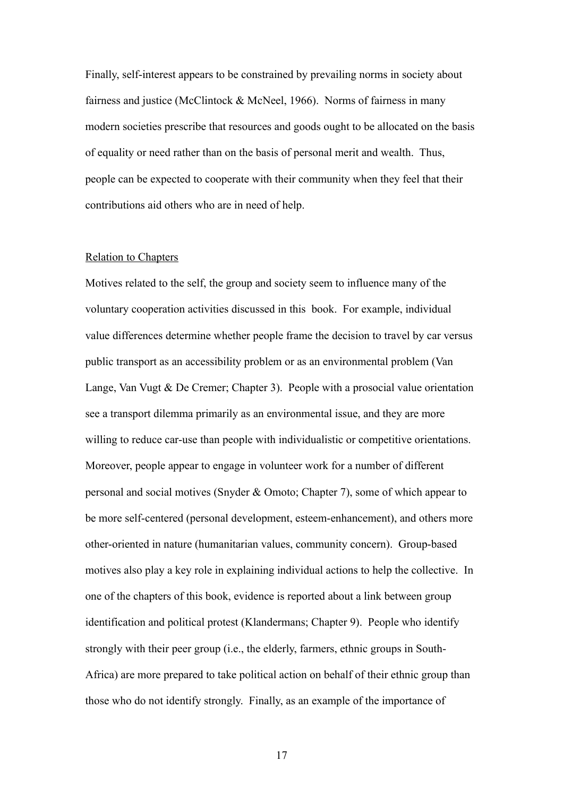Finally, self-interest appears to be constrained by prevailing norms in society about fairness and justice (McClintock  $\&$  McNeel, 1966). Norms of fairness in many modern societies prescribe that resources and goods ought to be allocated on the basis of equality or need rather than on the basis of personal merit and wealth. Thus, people can be expected to cooperate with their community when they feel that their contributions aid others who are in need of help.

## Relation to Chapters

Motives related to the self, the group and society seem to influence many of the voluntary cooperation activities discussed in this book. For example, individual value differences determine whether people frame the decision to travel by car versus public transport as an accessibility problem or as an environmental problem (Van Lange, Van Vugt & De Cremer; Chapter 3). People with a prosocial value orientation see a transport dilemma primarily as an environmental issue, and they are more willing to reduce car-use than people with individualistic or competitive orientations. Moreover, people appear to engage in volunteer work for a number of different personal and social motives (Snyder & Omoto; Chapter 7), some of which appear to be more self-centered (personal development, esteem-enhancement), and others more other-oriented in nature (humanitarian values, community concern). Group-based motives also play a key role in explaining individual actions to help the collective. In one of the chapters of this book, evidence is reported about a link between group identification and political protest (Klandermans; Chapter 9). People who identify strongly with their peer group (i.e., the elderly, farmers, ethnic groups in South-Africa) are more prepared to take political action on behalf of their ethnic group than those who do not identify strongly. Finally, as an example of the importance of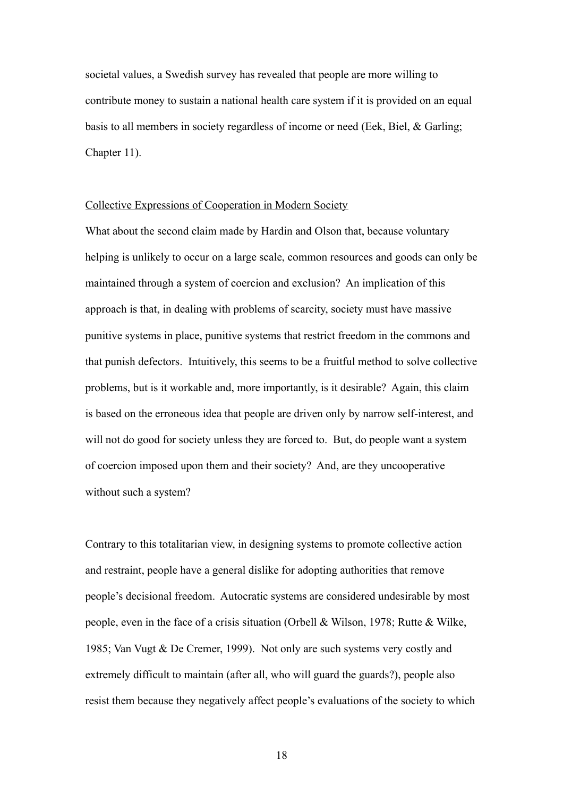societal values, a Swedish survey has revealed that people are more willing to contribute money to sustain a national health care system if it is provided on an equal basis to all members in society regardless of income or need (Eek, Biel, & Garling; Chapter 11).

## Collective Expressions of Cooperation in Modern Society

What about the second claim made by Hardin and Olson that, because voluntary helping is unlikely to occur on a large scale, common resources and goods can only be maintained through a system of coercion and exclusion? An implication of this approach is that, in dealing with problems of scarcity, society must have massive punitive systems in place, punitive systems that restrict freedom in the commons and that punish defectors. Intuitively, this seems to be a fruitful method to solve collective problems, but is it workable and, more importantly, is it desirable? Again, this claim is based on the erroneous idea that people are driven only by narrow self-interest, and will not do good for society unless they are forced to. But, do people want a system of coercion imposed upon them and their society? And, are they uncooperative without such a system?

Contrary to this totalitarian view, in designing systems to promote collective action and restraint, people have a general dislike for adopting authorities that remove people's decisional freedom. Autocratic systems are considered undesirable by most people, even in the face of a crisis situation (Orbell & Wilson, 1978; Rutte & Wilke, 1985; Van Vugt & De Cremer, 1999). Not only are such systems very costly and extremely difficult to maintain (after all, who will guard the guards?), people also resist them because they negatively affect people's evaluations of the society to which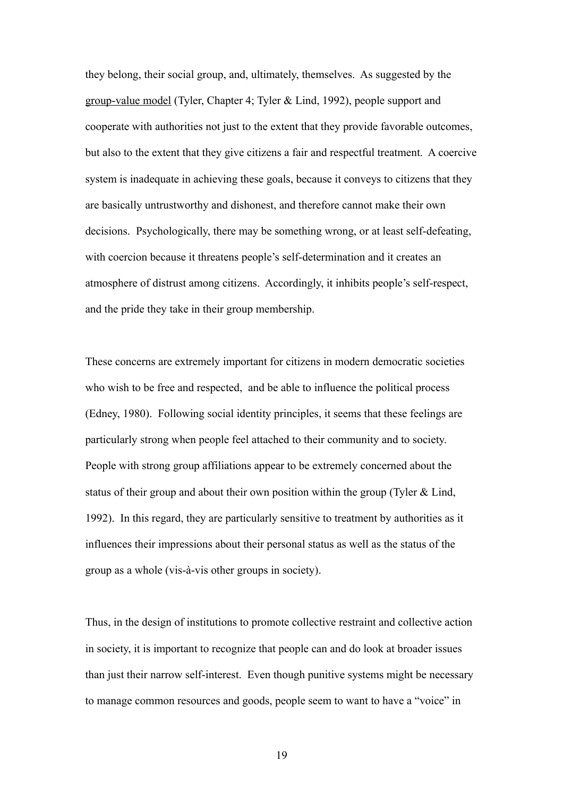they belong, their social group, and, ultimately, themselves. As suggested by the group-value model (Tyler, Chapter 4; Tyler & Lind, 1992), people support and cooperate with authorities not just to the extent that they provide favorable outcomes, but also to the extent that they give citizens a fair and respectful treatment. A coercive system is inadequate in achieving these goals, because it conveys to citizens that they are basically untrustworthy and dishonest, and therefore cannot make their own decisions. Psychologically, there may be something wrong, or at least self-defeating, with coercion because it threatens people's self-determination and it creates an atmosphere of distrust among citizens. Accordingly, it inhibits people's self-respect, and the pride they take in their group membership.

These concerns are extremely important for citizens in modern democratic societies who wish to be free and respected, and be able to influence the political process (Edney, 1980). Following social identity principles, it seems that these feelings are particularly strong when people feel attached to their community and to society. People with strong group affiliations appear to be extremely concerned about the status of their group and about their own position within the group (Tyler & Lind, 1992). In this regard, they are particularly sensitive to treatment by authorities as it influences their impressions about their personal status as well as the status of the group as a whole (vis-à-vis other groups in society).

Thus, in the design of institutions to promote collective restraint and collective action in society, it is important to recognize that people can and do look at broader issues than just their narrow self-interest. Even though punitive systems might be necessary to manage common resources and goods, people seem to want to have a "voice" in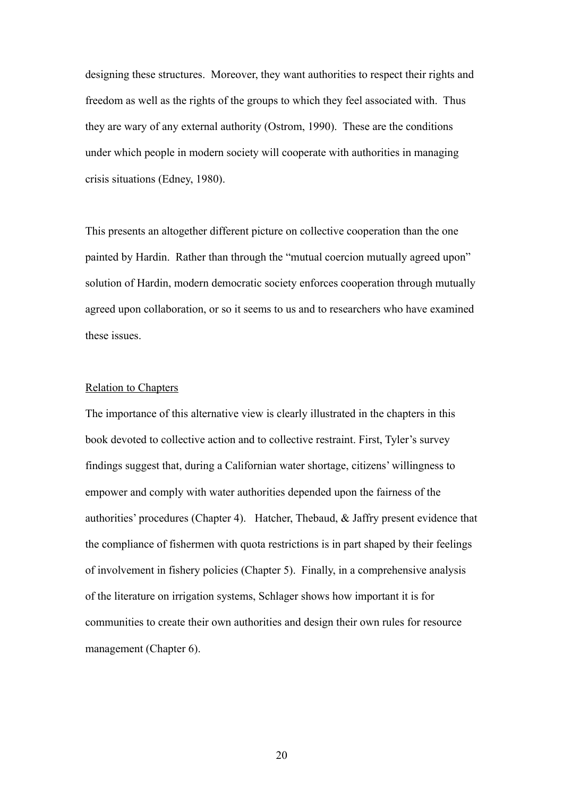designing these structures. Moreover, they want authorities to respect their rights and freedom as well as the rights of the groups to which they feel associated with. Thus they are wary of any external authority (Ostrom, 1990). These are the conditions under which people in modern society will cooperate with authorities in managing crisis situations (Edney, 1980).

This presents an altogether different picture on collective cooperation than the one painted by Hardin. Rather than through the "mutual coercion mutually agreed upon" solution of Hardin, modern democratic society enforces cooperation through mutually agreed upon collaboration, or so it seems to us and to researchers who have examined these issues.

## Relation to Chapters

The importance of this alternative view is clearly illustrated in the chapters in this book devoted to collective action and to collective restraint. First, Tyler's survey findings suggest that, during a Californian water shortage, citizens' willingness to empower and comply with water authorities depended upon the fairness of the authorities' procedures (Chapter 4). Hatcher, Thebaud, & Jaffry present evidence that the compliance of fishermen with quota restrictions is in part shaped by their feelings of involvement in fishery policies (Chapter 5). Finally, in a comprehensive analysis of the literature on irrigation systems, Schlager shows how important it is for communities to create their own authorities and design their own rules for resource management (Chapter 6).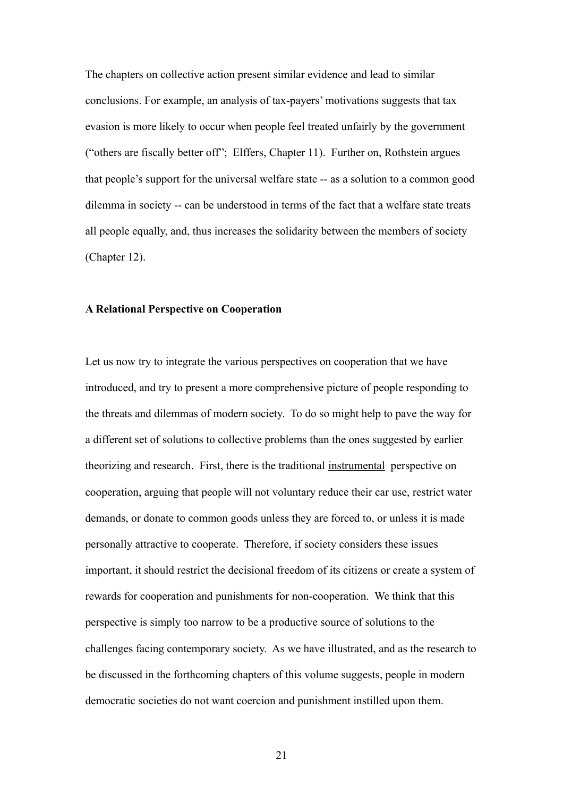The chapters on collective action present similar evidence and lead to similar conclusions. For example, an analysis of tax-payers' motivations suggests that tax evasion is more likely to occur when people feel treated unfairly by the government ("others are fiscally better off"; Elffers, Chapter 11). Further on, Rothstein argues that people's support for the universal welfare state -- as a solution to a common good dilemma in society -- can be understood in terms of the fact that a welfare state treats all people equally, and, thus increases the solidarity between the members of society (Chapter 12).

## **A Relational Perspective on Cooperation**

Let us now try to integrate the various perspectives on cooperation that we have introduced, and try to present a more comprehensive picture of people responding to the threats and dilemmas of modern society. To do so might help to pave the way for a different set of solutions to collective problems than the ones suggested by earlier theorizing and research. First, there is the traditional instrumental perspective on cooperation, arguing that people will not voluntary reduce their car use, restrict water demands, or donate to common goods unless they are forced to, or unless it is made personally attractive to cooperate. Therefore, if society considers these issues important, it should restrict the decisional freedom of its citizens or create a system of rewards for cooperation and punishments for non-cooperation. We think that this perspective is simply too narrow to be a productive source of solutions to the challenges facing contemporary society. As we have illustrated, and as the research to be discussed in the forthcoming chapters of this volume suggests, people in modern democratic societies do not want coercion and punishment instilled upon them.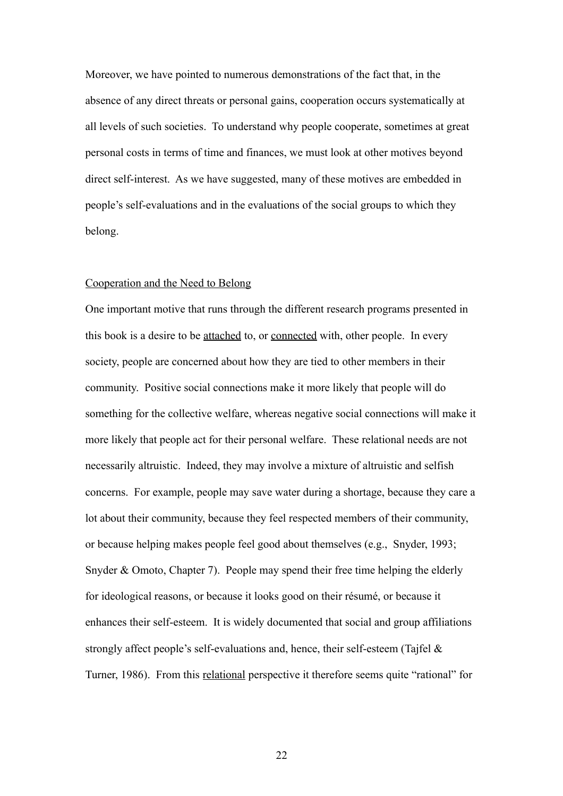Moreover, we have pointed to numerous demonstrations of the fact that, in the absence of any direct threats or personal gains, cooperation occurs systematically at all levels of such societies. To understand why people cooperate, sometimes at great personal costs in terms of time and finances, we must look at other motives beyond direct self-interest. As we have suggested, many of these motives are embedded in people's self-evaluations and in the evaluations of the social groups to which they belong.

## Cooperation and the Need to Belong

One important motive that runs through the different research programs presented in this book is a desire to be attached to, or connected with, other people. In every society, people are concerned about how they are tied to other members in their community. Positive social connections make it more likely that people will do something for the collective welfare, whereas negative social connections will make it more likely that people act for their personal welfare. These relational needs are not necessarily altruistic. Indeed, they may involve a mixture of altruistic and selfish concerns. For example, people may save water during a shortage, because they care a lot about their community, because they feel respected members of their community, or because helping makes people feel good about themselves (e.g., Snyder, 1993; Snyder & Omoto, Chapter 7). People may spend their free time helping the elderly for ideological reasons, or because it looks good on their résumé, or because it enhances their self-esteem. It is widely documented that social and group affiliations strongly affect people's self-evaluations and, hence, their self-esteem (Tajfel & Turner, 1986). From this relational perspective it therefore seems quite "rational" for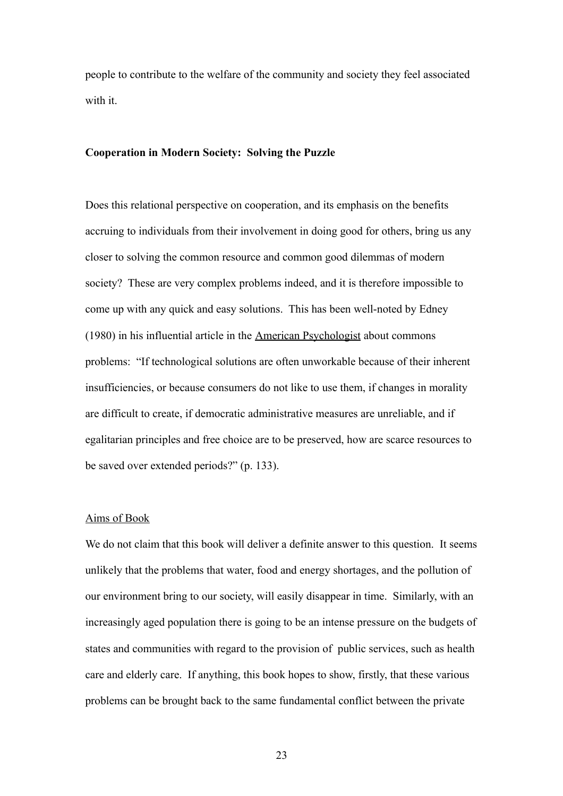people to contribute to the welfare of the community and society they feel associated with it.

## **Cooperation in Modern Society: Solving the Puzzle**

Does this relational perspective on cooperation, and its emphasis on the benefits accruing to individuals from their involvement in doing good for others, bring us any closer to solving the common resource and common good dilemmas of modern society? These are very complex problems indeed, and it is therefore impossible to come up with any quick and easy solutions. This has been well-noted by Edney (1980) in his influential article in the American Psychologist about commons problems: "If technological solutions are often unworkable because of their inherent insufficiencies, or because consumers do not like to use them, if changes in morality are difficult to create, if democratic administrative measures are unreliable, and if egalitarian principles and free choice are to be preserved, how are scarce resources to be saved over extended periods?" (p. 133).

## Aims of Book

We do not claim that this book will deliver a definite answer to this question. It seems unlikely that the problems that water, food and energy shortages, and the pollution of our environment bring to our society, will easily disappear in time. Similarly, with an increasingly aged population there is going to be an intense pressure on the budgets of states and communities with regard to the provision of public services, such as health care and elderly care. If anything, this book hopes to show, firstly, that these various problems can be brought back to the same fundamental conflict between the private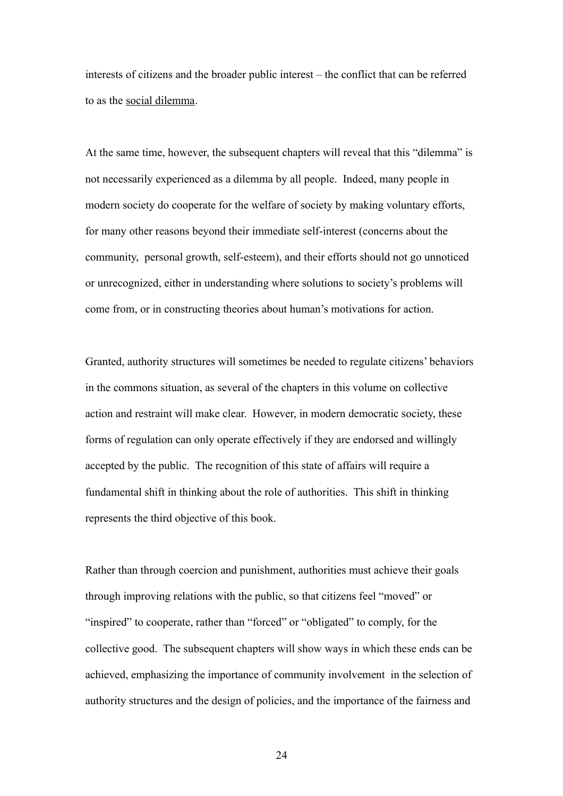interests of citizens and the broader public interest – the conflict that can be referred to as the social dilemma.

At the same time, however, the subsequent chapters will reveal that this "dilemma" is not necessarily experienced as a dilemma by all people. Indeed, many people in modern society do cooperate for the welfare of society by making voluntary efforts, for many other reasons beyond their immediate self-interest (concerns about the community, personal growth, self-esteem), and their efforts should not go unnoticed or unrecognized, either in understanding where solutions to society's problems will come from, or in constructing theories about human's motivations for action.

Granted, authority structures will sometimes be needed to regulate citizens' behaviors in the commons situation, as several of the chapters in this volume on collective action and restraint will make clear. However, in modern democratic society, these forms of regulation can only operate effectively if they are endorsed and willingly accepted by the public. The recognition of this state of affairs will require a fundamental shift in thinking about the role of authorities. This shift in thinking represents the third objective of this book.

Rather than through coercion and punishment, authorities must achieve their goals through improving relations with the public, so that citizens feel "moved" or "inspired" to cooperate, rather than "forced" or "obligated" to comply, for the collective good. The subsequent chapters will show ways in which these ends can be achieved, emphasizing the importance of community involvement in the selection of authority structures and the design of policies, and the importance of the fairness and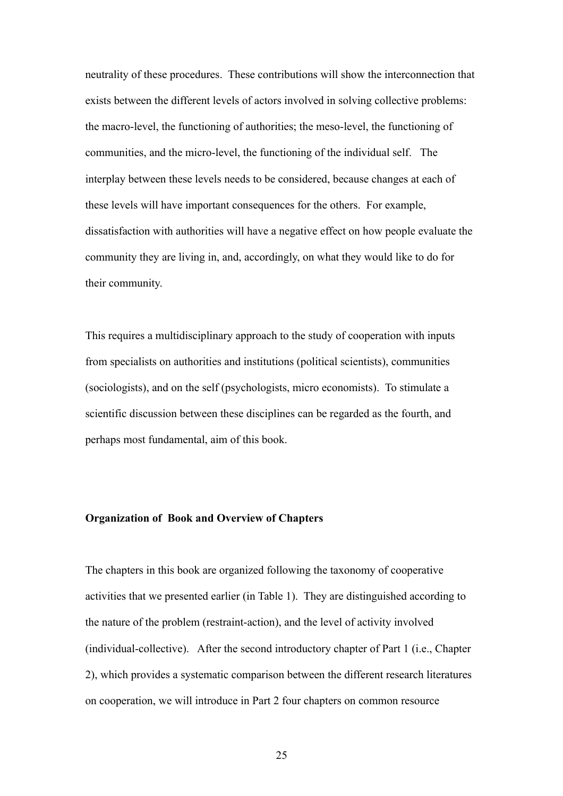neutrality of these procedures. These contributions will show the interconnection that exists between the different levels of actors involved in solving collective problems: the macro-level, the functioning of authorities; the meso-level, the functioning of communities, and the micro-level, the functioning of the individual self. The interplay between these levels needs to be considered, because changes at each of these levels will have important consequences for the others. For example, dissatisfaction with authorities will have a negative effect on how people evaluate the community they are living in, and, accordingly, on what they would like to do for their community.

This requires a multidisciplinary approach to the study of cooperation with inputs from specialists on authorities and institutions (political scientists), communities (sociologists), and on the self (psychologists, micro economists). To stimulate a scientific discussion between these disciplines can be regarded as the fourth, and perhaps most fundamental, aim of this book.

## **Organization of Book and Overview of Chapters**

The chapters in this book are organized following the taxonomy of cooperative activities that we presented earlier (in Table 1). They are distinguished according to the nature of the problem (restraint-action), and the level of activity involved (individual-collective). After the second introductory chapter of Part 1 (i.e., Chapter 2), which provides a systematic comparison between the different research literatures on cooperation, we will introduce in Part 2 four chapters on common resource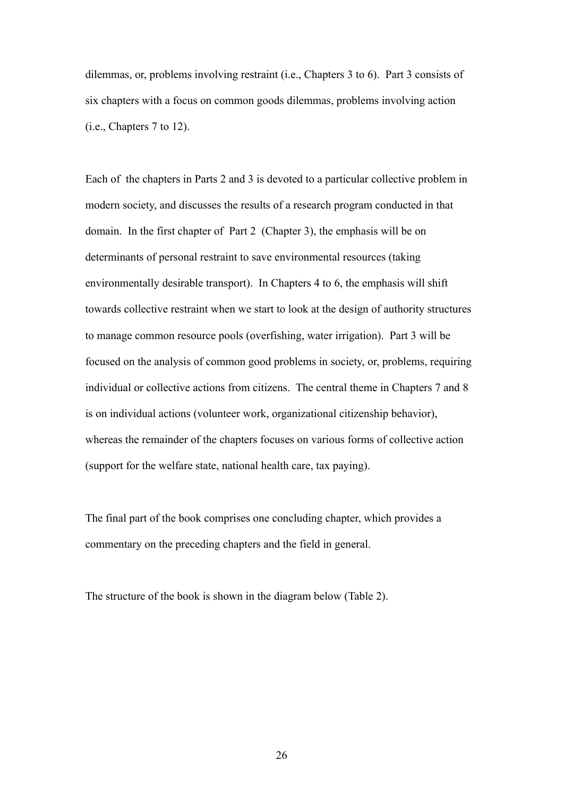dilemmas, or, problems involving restraint (i.e., Chapters 3 to 6). Part 3 consists of six chapters with a focus on common goods dilemmas, problems involving action (i.e., Chapters 7 to 12).

Each of the chapters in Parts 2 and 3 is devoted to a particular collective problem in modern society, and discusses the results of a research program conducted in that domain. In the first chapter of Part 2 (Chapter 3), the emphasis will be on determinants of personal restraint to save environmental resources (taking environmentally desirable transport). In Chapters 4 to 6, the emphasis will shift towards collective restraint when we start to look at the design of authority structures to manage common resource pools (overfishing, water irrigation). Part 3 will be focused on the analysis of common good problems in society, or, problems, requiring individual or collective actions from citizens. The central theme in Chapters 7 and 8 is on individual actions (volunteer work, organizational citizenship behavior), whereas the remainder of the chapters focuses on various forms of collective action (support for the welfare state, national health care, tax paying).

The final part of the book comprises one concluding chapter, which provides a commentary on the preceding chapters and the field in general.

The structure of the book is shown in the diagram below (Table 2).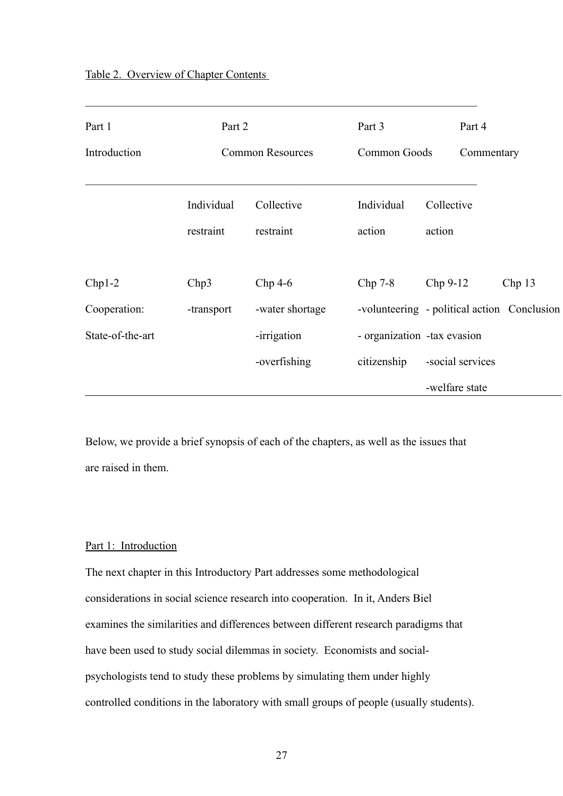| Part 1           | Part 2                  |                 | Part 3                                      |                             | Part 4     |       |
|------------------|-------------------------|-----------------|---------------------------------------------|-----------------------------|------------|-------|
| Introduction     | <b>Common Resources</b> |                 | Common Goods                                |                             | Commentary |       |
|                  |                         |                 |                                             |                             |            |       |
|                  | Individual              | Collective      | Individual                                  | Collective<br>action        |            |       |
|                  | restraint               | restraint       | action                                      |                             |            |       |
|                  |                         |                 |                                             |                             |            |       |
| $Chp1-2$         | Chp3                    | $Chp$ 4-6       | Chp 7-8                                     | Chp 9-12                    |            | Chp13 |
| Cooperation:     | -transport              | -water shortage | -volunteering - political action Conclusion |                             |            |       |
| State-of-the-art |                         | -irrigation     |                                             | - organization -tax evasion |            |       |
|                  |                         | -overfishing    | citizenship                                 | -social services            |            |       |
|                  |                         |                 |                                             | -welfare state              |            |       |

 $\mathcal{L}_\text{max}$  , and the contribution of the contribution of the contribution of the contribution of the contribution of the contribution of the contribution of the contribution of the contribution of the contribution of t

Below, we provide a brief synopsis of each of the chapters, as well as the issues that are raised in them.

# Part 1: Introduction

The next chapter in this Introductory Part addresses some methodological considerations in social science research into cooperation. In it, Anders Biel examines the similarities and differences between different research paradigms that have been used to study social dilemmas in society. Economists and socialpsychologists tend to study these problems by simulating them under highly controlled conditions in the laboratory with small groups of people (usually students).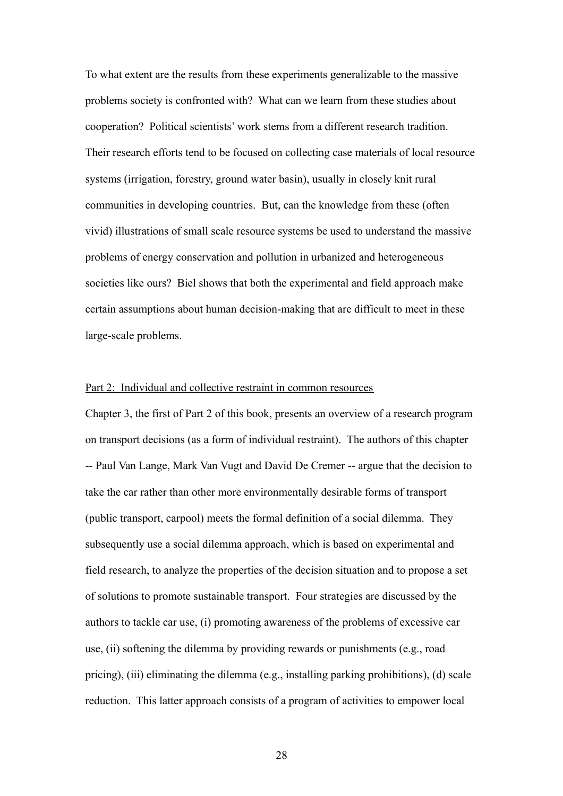To what extent are the results from these experiments generalizable to the massive problems society is confronted with? What can we learn from these studies about cooperation? Political scientists' work stems from a different research tradition. Their research efforts tend to be focused on collecting case materials of local resource systems (irrigation, forestry, ground water basin), usually in closely knit rural communities in developing countries. But, can the knowledge from these (often vivid) illustrations of small scale resource systems be used to understand the massive problems of energy conservation and pollution in urbanized and heterogeneous societies like ours? Biel shows that both the experimental and field approach make certain assumptions about human decision-making that are difficult to meet in these large-scale problems.

## Part 2: Individual and collective restraint in common resources

Chapter 3, the first of Part 2 of this book, presents an overview of a research program on transport decisions (as a form of individual restraint). The authors of this chapter -- Paul Van Lange, Mark Van Vugt and David De Cremer -- argue that the decision to take the car rather than other more environmentally desirable forms of transport (public transport, carpool) meets the formal definition of a social dilemma. They subsequently use a social dilemma approach, which is based on experimental and field research, to analyze the properties of the decision situation and to propose a set of solutions to promote sustainable transport. Four strategies are discussed by the authors to tackle car use, (i) promoting awareness of the problems of excessive car use, (ii) softening the dilemma by providing rewards or punishments (e.g., road pricing), (iii) eliminating the dilemma (e.g., installing parking prohibitions), (d) scale reduction. This latter approach consists of a program of activities to empower local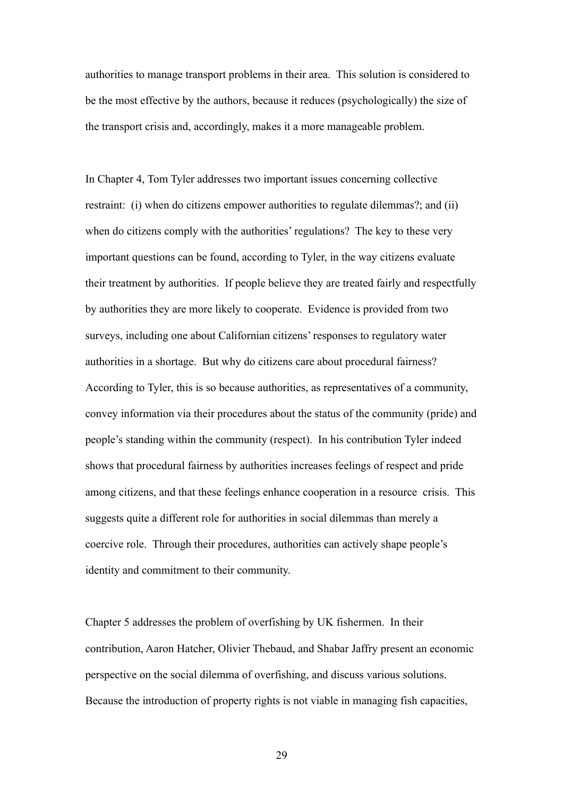authorities to manage transport problems in their area. This solution is considered to be the most effective by the authors, because it reduces (psychologically) the size of the transport crisis and, accordingly, makes it a more manageable problem.

In Chapter 4, Tom Tyler addresses two important issues concerning collective restraint: (i) when do citizens empower authorities to regulate dilemmas?; and (ii) when do citizens comply with the authorities' regulations? The key to these very important questions can be found, according to Tyler, in the way citizens evaluate their treatment by authorities. If people believe they are treated fairly and respectfully by authorities they are more likely to cooperate. Evidence is provided from two surveys, including one about Californian citizens' responses to regulatory water authorities in a shortage. But why do citizens care about procedural fairness? According to Tyler, this is so because authorities, as representatives of a community, convey information via their procedures about the status of the community (pride) and people's standing within the community (respect). In his contribution Tyler indeed shows that procedural fairness by authorities increases feelings of respect and pride among citizens, and that these feelings enhance cooperation in a resource crisis. This suggests quite a different role for authorities in social dilemmas than merely a coercive role. Through their procedures, authorities can actively shape people's identity and commitment to their community.

Chapter 5 addresses the problem of overfishing by UK fishermen. In their contribution, Aaron Hatcher, Olivier Thebaud, and Shabar Jaffry present an economic perspective on the social dilemma of overfishing, and discuss various solutions. Because the introduction of property rights is not viable in managing fish capacities,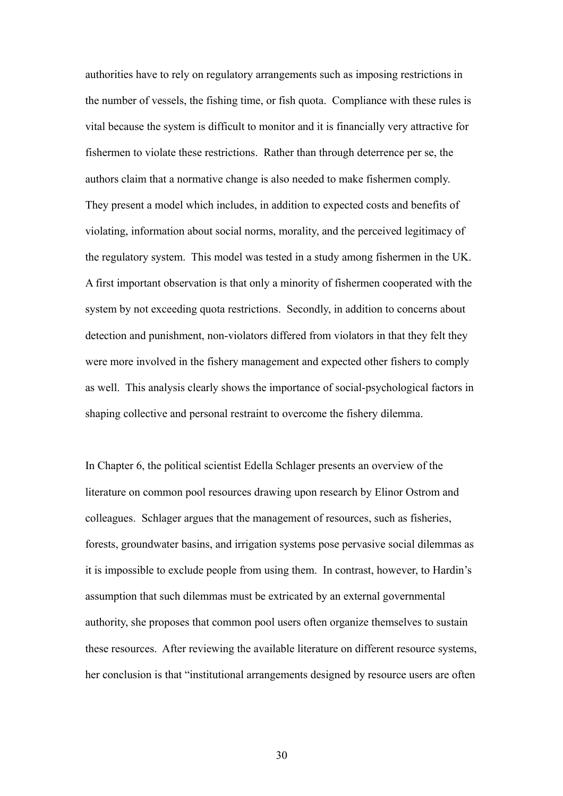authorities have to rely on regulatory arrangements such as imposing restrictions in the number of vessels, the fishing time, or fish quota. Compliance with these rules is vital because the system is difficult to monitor and it is financially very attractive for fishermen to violate these restrictions. Rather than through deterrence per se, the authors claim that a normative change is also needed to make fishermen comply. They present a model which includes, in addition to expected costs and benefits of violating, information about social norms, morality, and the perceived legitimacy of the regulatory system. This model was tested in a study among fishermen in the UK. A first important observation is that only a minority of fishermen cooperated with the system by not exceeding quota restrictions. Secondly, in addition to concerns about detection and punishment, non-violators differed from violators in that they felt they were more involved in the fishery management and expected other fishers to comply as well. This analysis clearly shows the importance of social-psychological factors in shaping collective and personal restraint to overcome the fishery dilemma.

In Chapter 6, the political scientist Edella Schlager presents an overview of the literature on common pool resources drawing upon research by Elinor Ostrom and colleagues. Schlager argues that the management of resources, such as fisheries, forests, groundwater basins, and irrigation systems pose pervasive social dilemmas as it is impossible to exclude people from using them. In contrast, however, to Hardin's assumption that such dilemmas must be extricated by an external governmental authority, she proposes that common pool users often organize themselves to sustain these resources. After reviewing the available literature on different resource systems, her conclusion is that "institutional arrangements designed by resource users are often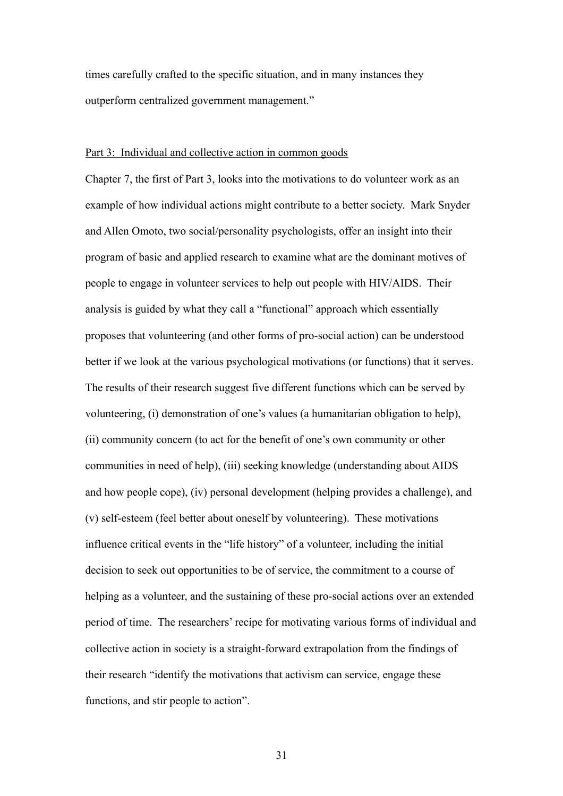times carefully crafted to the specific situation, and in many instances they outperform centralized government management."

## Part 3: Individual and collective action in common goods

Chapter 7, the first of Part 3, looks into the motivations to do volunteer work as an example of how individual actions might contribute to a better society. Mark Snyder and Allen Omoto, two social/personality psychologists, offer an insight into their program of basic and applied research to examine what are the dominant motives of people to engage in volunteer services to help out people with HIV/AIDS. Their analysis is guided by what they call a "functional" approach which essentially proposes that volunteering (and other forms of pro-social action) can be understood better if we look at the various psychological motivations (or functions) that it serves. The results of their research suggest five different functions which can be served by volunteering, (i) demonstration of one's values (a humanitarian obligation to help), (ii) community concern (to act for the benefit of one's own community or other communities in need of help), (iii) seeking knowledge (understanding about AIDS and how people cope), (iv) personal development (helping provides a challenge), and (v) self-esteem (feel better about oneself by volunteering). These motivations influence critical events in the "life history" of a volunteer, including the initial decision to seek out opportunities to be of service, the commitment to a course of helping as a volunteer, and the sustaining of these pro-social actions over an extended period of time. The researchers' recipe for motivating various forms of individual and collective action in society is a straight-forward extrapolation from the findings of their research "identify the motivations that activism can service, engage these functions, and stir people to action".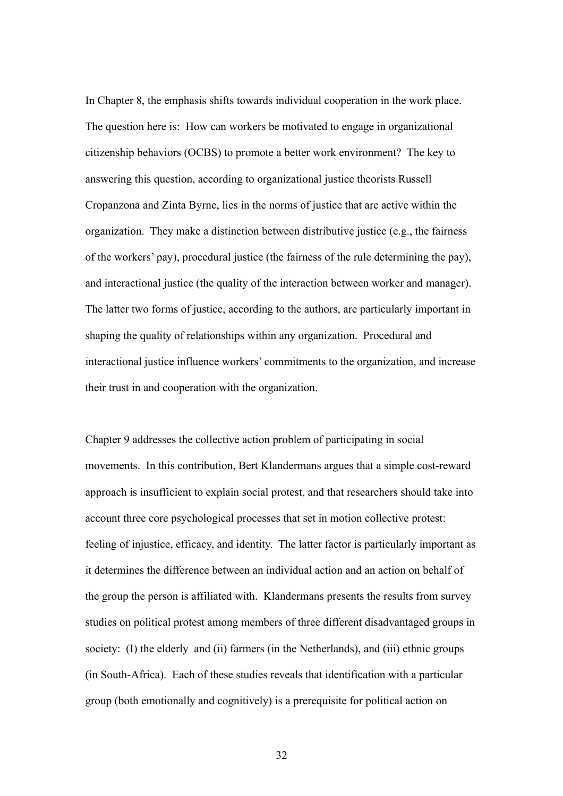In Chapter 8, the emphasis shifts towards individual cooperation in the work place. The question here is: How can workers be motivated to engage in organizational citizenship behaviors (OCBS) to promote a better work environment? The key to answering this question, according to organizational justice theorists Russell Cropanzona and Zinta Byrne, lies in the norms of justice that are active within the organization. They make a distinction between distributive justice (e.g., the fairness of the workers' pay), procedural justice (the fairness of the rule determining the pay), and interactional justice (the quality of the interaction between worker and manager). The latter two forms of justice, according to the authors, are particularly important in shaping the quality of relationships within any organization. Procedural and interactional justice influence workers' commitments to the organization, and increase their trust in and cooperation with the organization.

Chapter 9 addresses the collective action problem of participating in social movements. In this contribution, Bert Klandermans argues that a simple cost-reward approach is insufficient to explain social protest, and that researchers should take into account three core psychological processes that set in motion collective protest: feeling of injustice, efficacy, and identity. The latter factor is particularly important as it determines the difference between an individual action and an action on behalf of the group the person is affiliated with. Klandermans presents the results from survey studies on political protest among members of three different disadvantaged groups in society: (I) the elderly and (ii) farmers (in the Netherlands), and (iii) ethnic groups (in South-Africa). Each of these studies reveals that identification with a particular group (both emotionally and cognitively) is a prerequisite for political action on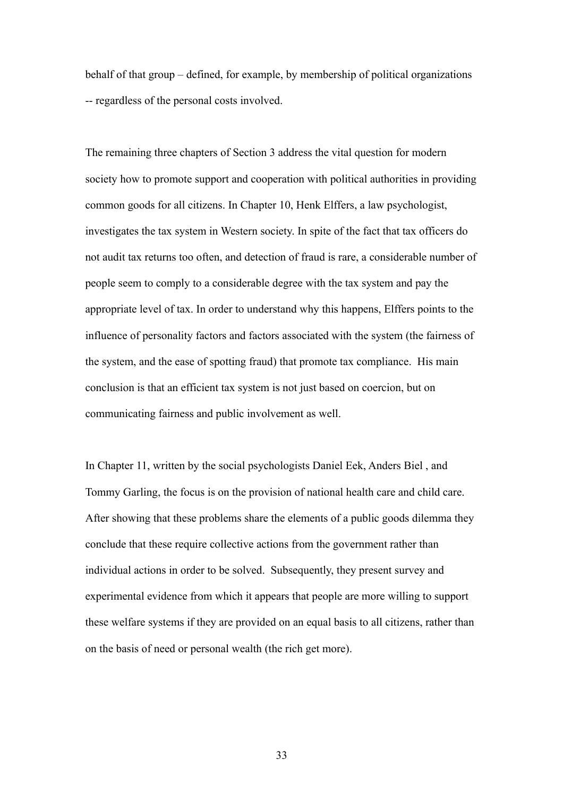behalf of that group – defined, for example, by membership of political organizations -- regardless of the personal costs involved.

The remaining three chapters of Section 3 address the vital question for modern society how to promote support and cooperation with political authorities in providing common goods for all citizens. In Chapter 10, Henk Elffers, a law psychologist, investigates the tax system in Western society. In spite of the fact that tax officers do not audit tax returns too often, and detection of fraud is rare, a considerable number of people seem to comply to a considerable degree with the tax system and pay the appropriate level of tax. In order to understand why this happens, Elffers points to the influence of personality factors and factors associated with the system (the fairness of the system, and the ease of spotting fraud) that promote tax compliance. His main conclusion is that an efficient tax system is not just based on coercion, but on communicating fairness and public involvement as well.

In Chapter 11, written by the social psychologists Daniel Eek, Anders Biel , and Tommy Garling, the focus is on the provision of national health care and child care. After showing that these problems share the elements of a public goods dilemma they conclude that these require collective actions from the government rather than individual actions in order to be solved. Subsequently, they present survey and experimental evidence from which it appears that people are more willing to support these welfare systems if they are provided on an equal basis to all citizens, rather than on the basis of need or personal wealth (the rich get more).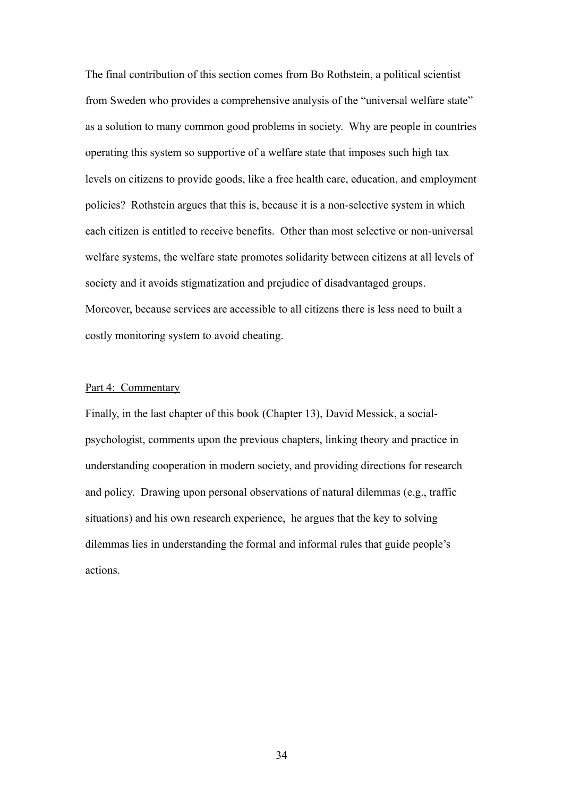The final contribution of this section comes from Bo Rothstein, a political scientist from Sweden who provides a comprehensive analysis of the "universal welfare state" as a solution to many common good problems in society. Why are people in countries operating this system so supportive of a welfare state that imposes such high tax levels on citizens to provide goods, like a free health care, education, and employment policies? Rothstein argues that this is, because it is a non-selective system in which each citizen is entitled to receive benefits. Other than most selective or non-universal welfare systems, the welfare state promotes solidarity between citizens at all levels of society and it avoids stigmatization and prejudice of disadvantaged groups. Moreover, because services are accessible to all citizens there is less need to built a costly monitoring system to avoid cheating.

## Part 4: Commentary

Finally, in the last chapter of this book (Chapter 13), David Messick, a socialpsychologist, comments upon the previous chapters, linking theory and practice in understanding cooperation in modern society, and providing directions for research and policy. Drawing upon personal observations of natural dilemmas (e.g., traffic situations) and his own research experience, he argues that the key to solving dilemmas lies in understanding the formal and informal rules that guide people's actions.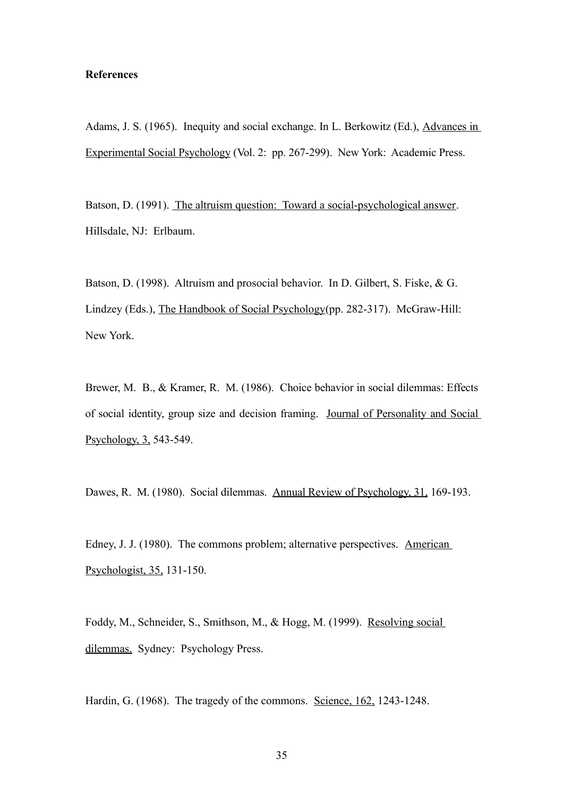## **References**

Adams, J. S. (1965). Inequity and social exchange. In L. Berkowitz (Ed.), Advances in Experimental Social Psychology (Vol. 2: pp. 267-299). New York: Academic Press.

Batson, D. (1991). The altruism question: Toward a social-psychological answer. Hillsdale, NJ: Erlbaum.

Batson, D. (1998). Altruism and prosocial behavior. In D. Gilbert, S. Fiske, & G. Lindzey (Eds.), The Handbook of Social Psychology(pp. 282-317). McGraw-Hill: New York.

Brewer, M. B., & Kramer, R. M. (1986). Choice behavior in social dilemmas: Effects of social identity, group size and decision framing. Journal of Personality and Social Psychology, 3, 543-549.

Dawes, R. M. (1980). Social dilemmas. Annual Review of Psychology, 31, 169-193.

Edney, J. J. (1980). The commons problem; alternative perspectives. American Psychologist, 35, 131-150.

Foddy, M., Schneider, S., Smithson, M., & Hogg, M. (1999). Resolving social dilemmas. Sydney: Psychology Press.

Hardin, G. (1968). The tragedy of the commons. Science, 162, 1243-1248.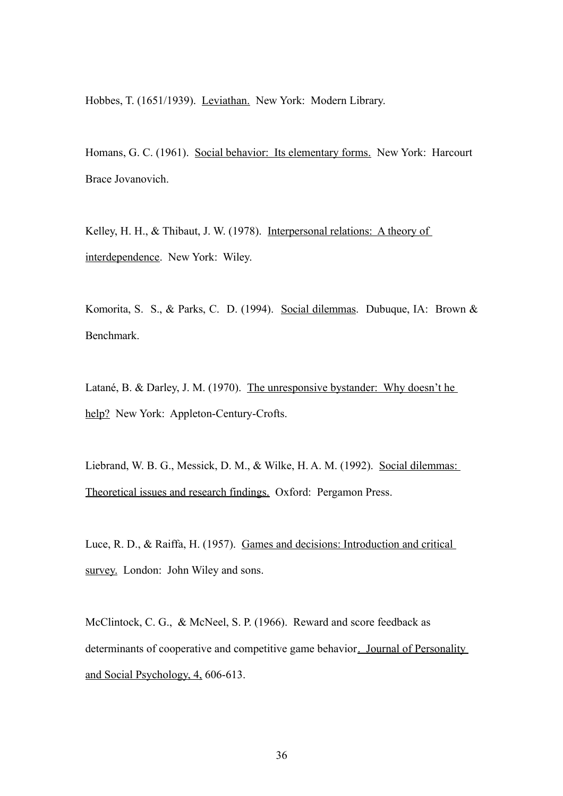Hobbes, T. (1651/1939). Leviathan. New York: Modern Library.

Homans, G. C. (1961). Social behavior: Its elementary forms. New York: Harcourt Brace Jovanovich.

Kelley, H. H., & Thibaut, J. W. (1978). Interpersonal relations: A theory of interdependence. New York: Wiley.

Komorita, S. S., & Parks, C. D. (1994). Social dilemmas. Dubuque, IA: Brown & Benchmark.

Latané, B. & Darley, J. M. (1970). The unresponsive bystander: Why doesn't he help? New York: Appleton-Century-Crofts.

Liebrand, W. B. G., Messick, D. M., & Wilke, H. A. M. (1992). Social dilemmas: Theoretical issues and research findings. Oxford: Pergamon Press.

Luce, R. D., & Raiffa, H. (1957). Games and decisions: Introduction and critical survey. London: John Wiley and sons.

McClintock, C. G., & McNeel, S. P. (1966). Reward and score feedback as determinants of cooperative and competitive game behavior. Journal of Personality and Social Psychology, 4, 606-613.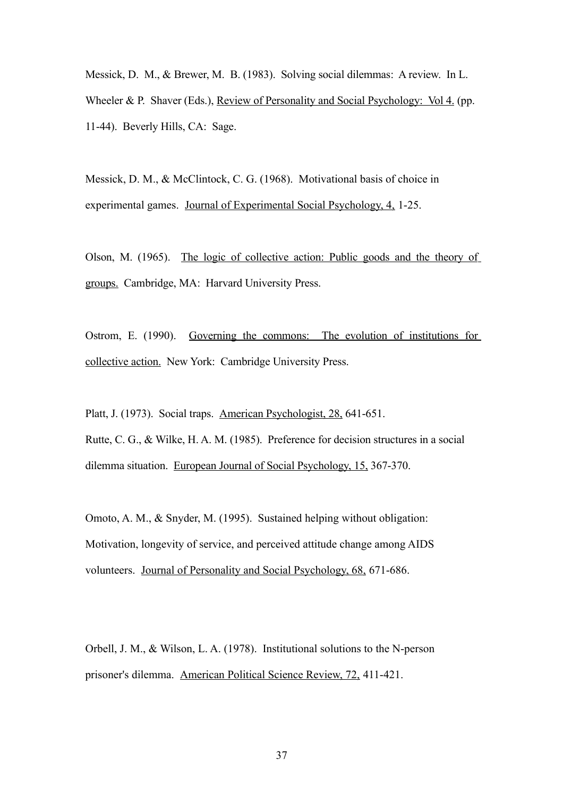Messick, D. M., & Brewer, M. B. (1983). Solving social dilemmas: A review. In L. Wheeler & P. Shaver (Eds.), Review of Personality and Social Psychology: Vol 4. (pp. 11-44). Beverly Hills, CA: Sage.

Messick, D. M., & McClintock, C. G. (1968). Motivational basis of choice in experimental games. Journal of Experimental Social Psychology, 4, 1-25.

Olson, M. (1965). The logic of collective action: Public goods and the theory of groups. Cambridge, MA: Harvard University Press.

Ostrom, E. (1990). Governing the commons: The evolution of institutions for collective action. New York: Cambridge University Press.

Platt, J. (1973). Social traps. American Psychologist, 28, 641-651. Rutte, C. G., & Wilke, H. A. M. (1985). Preference for decision structures in a social dilemma situation. European Journal of Social Psychology, 15, 367-370.

Omoto, A. M., & Snyder, M. (1995). Sustained helping without obligation: Motivation, longevity of service, and perceived attitude change among AIDS volunteers. Journal of Personality and Social Psychology, 68, 671-686.

Orbell, J. M., & Wilson, L. A. (1978). Institutional solutions to the N-person prisoner's dilemma. American Political Science Review, 72, 411-421.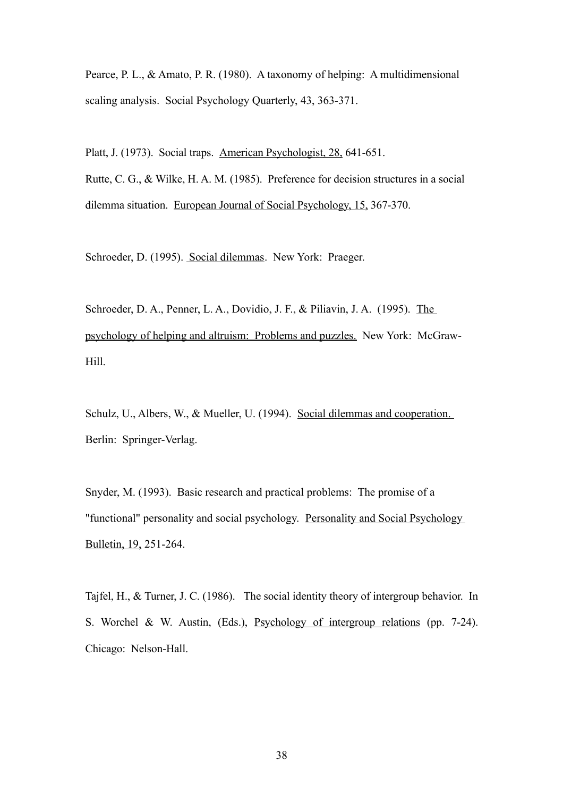Pearce, P. L., & Amato, P. R. (1980). A taxonomy of helping: A multidimensional scaling analysis. Social Psychology Quarterly, 43, 363-371.

Platt, J. (1973). Social traps. American Psychologist, 28, 641-651. Rutte, C. G., & Wilke, H. A. M. (1985). Preference for decision structures in a social dilemma situation. European Journal of Social Psychology, 15, 367-370.

Schroeder, D. (1995). Social dilemmas. New York: Praeger.

Schroeder, D. A., Penner, L. A., Dovidio, J. F., & Piliavin, J. A. (1995). The psychology of helping and altruism: Problems and puzzles. New York: McGraw-Hill.

Schulz, U., Albers, W., & Mueller, U. (1994). Social dilemmas and cooperation. Berlin: Springer-Verlag.

Snyder, M. (1993). Basic research and practical problems: The promise of a "functional" personality and social psychology. Personality and Social Psychology Bulletin, 19, 251-264.

Tajfel, H., & Turner, J. C. (1986). The social identity theory of intergroup behavior. In S. Worchel & W. Austin, (Eds.), Psychology of intergroup relations (pp. 7-24). Chicago: Nelson-Hall.